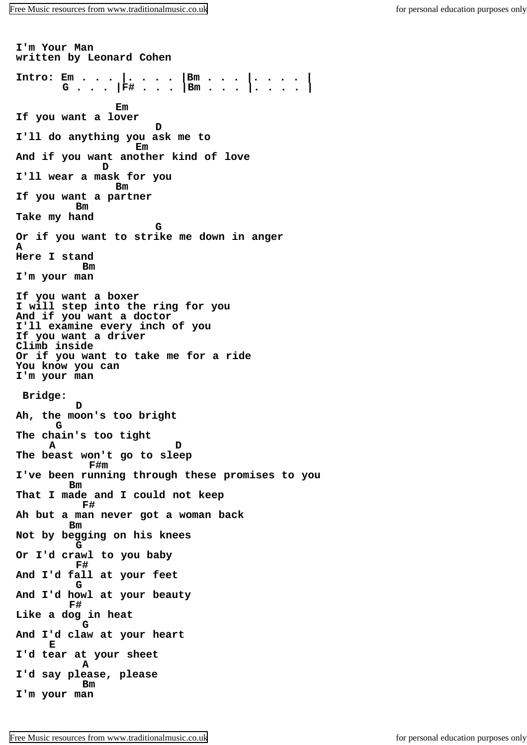**I'm Your Man written by Leonard Cohen Intro: Em . . . |. . . . |Bm . . . |. . . . | G . . . |F# . . . |Bm . . . |. . . . | Em If you want a lover D I'll do anything you ask me to Em And if you want another kind of love D I'll wear a mask for you Bm If you want a partner Bm Take my hand G Or if you want to strike me down in anger A Here I stand Bm I'm your man If you want a boxer I will step into the ring for you And if you want a doctor I'll examine every inch of you If you want a driver Climb inside Or if you want to take me for a ride You know you can I'm your man Bridge: D Ah, the moon's too bright G The chain's too tight A D The beast won't go to sleep F#m I've been running through these promises to you Bm That I made and I could not keep F# Ah but a man never got a woman back Bm Not by begging on his knees G Or I'd crawl to you baby F# And I'd fall at your feet G And I'd howl at your beauty F# Like a dog in heat G And I'd claw at your heart E I'd tear at your sheet A I'd say please, please Bm I'm your man**